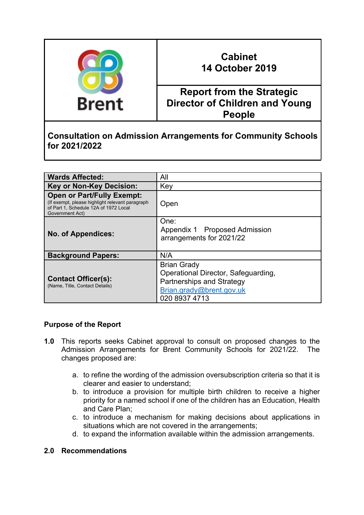

# **Cabinet 14 October 2019**

## **Report from the Strategic Director of Children and Young People**

## **Consultation on Admission Arrangements for Community Schools for 2021/2022**

| <b>Wards Affected:</b>                                                                                                                            | All                                                                                                                                 |
|---------------------------------------------------------------------------------------------------------------------------------------------------|-------------------------------------------------------------------------------------------------------------------------------------|
| <b>Key or Non-Key Decision:</b>                                                                                                                   | Key                                                                                                                                 |
| <b>Open or Part/Fully Exempt:</b><br>(If exempt, please highlight relevant paragraph)<br>of Part 1, Schedule 12A of 1972 Local<br>Government Act) | Open                                                                                                                                |
| <b>No. of Appendices:</b>                                                                                                                         | One:<br>Appendix 1 Proposed Admission<br>arrangements for 2021/22                                                                   |
| <b>Background Papers:</b>                                                                                                                         | N/A                                                                                                                                 |
| <b>Contact Officer(s):</b><br>(Name, Title, Contact Details)                                                                                      | <b>Brian Grady</b><br>Operational Director, Safeguarding,<br>Partnerships and Strategy<br>Brian.grady@brent.gov.uk<br>020 8937 4713 |

### **Purpose of the Report**

- **1.0** This reports seeks Cabinet approval to consult on proposed changes to the Admission Arrangements for Brent Community Schools for 2021/22. The changes proposed are:
	- a. to refine the wording of the admission oversubscription criteria so that it is clearer and easier to understand;
	- b. to introduce a provision for multiple birth children to receive a higher priority for a named school if one of the children has an Education, Health and Care Plan;
	- c. to introduce a mechanism for making decisions about applications in situations which are not covered in the arrangements;
	- d. to expand the information available within the admission arrangements.

#### **2.0 Recommendations**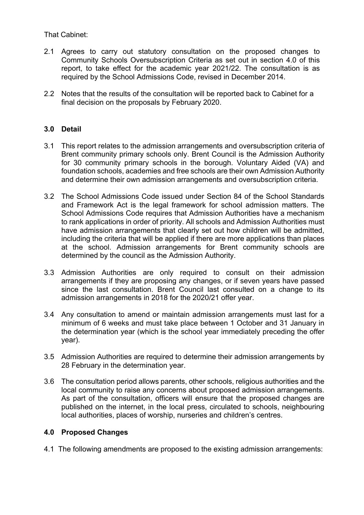That Cabinet:

- 2.1 Agrees to carry out statutory consultation on the proposed changes to Community Schools Oversubscription Criteria as set out in section 4.0 of this report, to take effect for the academic year 2021/22. The consultation is as required by the School Admissions Code, revised in December 2014.
- 2.2 Notes that the results of the consultation will be reported back to Cabinet for a final decision on the proposals by February 2020.

#### **3.0 Detail**

- 3.1 This report relates to the admission arrangements and oversubscription criteria of Brent community primary schools only. Brent Council is the Admission Authority for 30 community primary schools in the borough. Voluntary Aided (VA) and foundation schools, academies and free schools are their own Admission Authority and determine their own admission arrangements and oversubscription criteria.
- 3.2 The School Admissions Code issued under Section 84 of the School Standards and Framework Act is the legal framework for school admission matters. The School Admissions Code requires that Admission Authorities have a mechanism to rank applications in order of priority. All schools and Admission Authorities must have admission arrangements that clearly set out how children will be admitted, including the criteria that will be applied if there are more applications than places at the school. Admission arrangements for Brent community schools are determined by the council as the Admission Authority.
- 3.3 Admission Authorities are only required to consult on their admission arrangements if they are proposing any changes, or if seven years have passed since the last consultation. Brent Council last consulted on a change to its admission arrangements in 2018 for the 2020/21 offer year.
- 3.4 Any consultation to amend or maintain admission arrangements must last for a minimum of 6 weeks and must take place between 1 October and 31 January in the determination year (which is the school year immediately preceding the offer year).
- 3.5 Admission Authorities are required to determine their admission arrangements by 28 February in the determination year.
- 3.6 The consultation period allows parents, other schools, religious authorities and the local community to raise any concerns about proposed admission arrangements. As part of the consultation, officers will ensure that the proposed changes are published on the internet, in the local press, circulated to schools, neighbouring local authorities, places of worship, nurseries and children's centres.

#### **4.0 Proposed Changes**

4.1 The following amendments are proposed to the existing admission arrangements: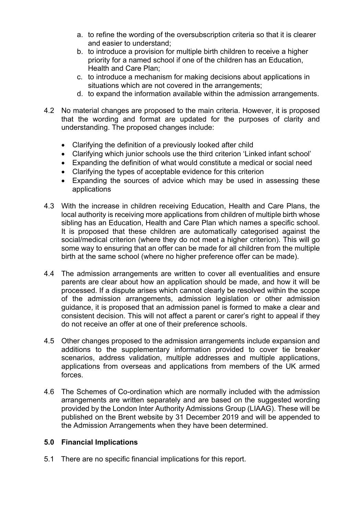- a. to refine the wording of the oversubscription criteria so that it is clearer and easier to understand;
- b. to introduce a provision for multiple birth children to receive a higher priority for a named school if one of the children has an Education, Health and Care Plan;
- c. to introduce a mechanism for making decisions about applications in situations which are not covered in the arrangements;
- d. to expand the information available within the admission arrangements.
- 4.2 No material changes are proposed to the main criteria. However, it is proposed that the wording and format are updated for the purposes of clarity and understanding. The proposed changes include:
	- Clarifying the definition of a previously looked after child
	- Clarifying which junior schools use the third criterion 'Linked infant school'
	- Expanding the definition of what would constitute a medical or social need
	- Clarifying the types of acceptable evidence for this criterion
	- Expanding the sources of advice which may be used in assessing these applications
- 4.3 With the increase in children receiving Education, Health and Care Plans, the local authority is receiving more applications from children of multiple birth whose sibling has an Education, Health and Care Plan which names a specific school. It is proposed that these children are automatically categorised against the social/medical criterion (where they do not meet a higher criterion). This will go some way to ensuring that an offer can be made for all children from the multiple birth at the same school (where no higher preference offer can be made).
- 4.4 The admission arrangements are written to cover all eventualities and ensure parents are clear about how an application should be made, and how it will be processed. If a dispute arises which cannot clearly be resolved within the scope of the admission arrangements, admission legislation or other admission guidance, it is proposed that an admission panel is formed to make a clear and consistent decision. This will not affect a parent or carer's right to appeal if they do not receive an offer at one of their preference schools.
- 4.5 Other changes proposed to the admission arrangements include expansion and additions to the supplementary information provided to cover tie breaker scenarios, address validation, multiple addresses and multiple applications, applications from overseas and applications from members of the UK armed forces.
- 4.6 The Schemes of Co-ordination which are normally included with the admission arrangements are written separately and are based on the suggested wording provided by the London Inter Authority Admissions Group (LIAAG). These will be published on the Brent website by 31 December 2019 and will be appended to the Admission Arrangements when they have been determined.

#### **5.0 Financial Implications**

5.1 There are no specific financial implications for this report.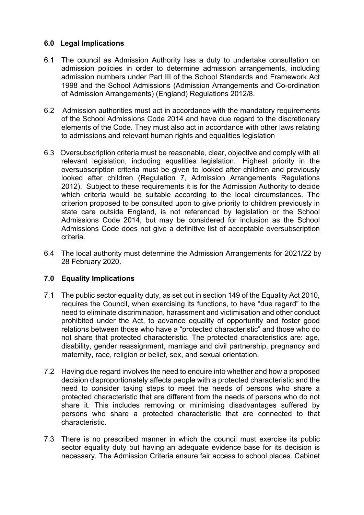#### **6.0 Legal Implications**

- 6.1 The council as Admission Authority has a duty to undertake consultation on admission policies in order to determine admission arrangements, including admission numbers under Part III of the School Standards and Framework Act 1998 and the School Admissions (Admission Arrangements and Co-ordination of Admission Arrangements) (England) Regulations 2012/8.
- 6.2 Admission authorities must act in accordance with the mandatory requirements of the School Admissions Code 2014 and have due regard to the discretionary elements of the Code. They must also act in accordance with other laws relating to admissions and relevant human rights and equalities legislation
- 6.3 Oversubscription criteria must be reasonable, clear, objective and comply with all relevant legislation, including equalities legislation. Highest priority in the oversubscription criteria must be given to looked after children and previously looked after children (Regulation 7, Admission Arrangements Regulations 2012). Subject to these requirements it is for the Admission Authority to decide which criteria would be suitable according to the local circumstances. The criterion proposed to be consulted upon to give priority to children previously in state care outside England, is not referenced by legislation or the School Admissions Code 2014, but may be considered for inclusion as the School Admissions Code does not give a definitive list of acceptable oversubscription criteria.
- 6.4 The local authority must determine the Admission Arrangements for 2021/22 by 28 February 2020.

#### **7.0 Equality Implications**

- 7.1 The public sector equality duty, as set out in section 149 of the Equality Act 2010, requires the Council, when exercising its functions, to have "due regard" to the need to eliminate discrimination, harassment and victimisation and other conduct prohibited under the Act, to advance equality of opportunity and foster good relations between those who have a "protected characteristic" and those who do not share that protected characteristic. The protected characteristics are: age, disability, gender reassignment, marriage and civil partnership, pregnancy and maternity, race, religion or belief, sex, and sexual orientation.
- 7.2 Having due regard involves the need to enquire into whether and how a proposed decision disproportionately affects people with a protected characteristic and the need to consider taking steps to meet the needs of persons who share a protected characteristic that are different from the needs of persons who do not share it. This includes removing or minimising disadvantages suffered by persons who share a protected characteristic that are connected to that characteristic.
- 7.3 There is no prescribed manner in which the council must exercise its public sector equality duty but having an adequate evidence base for its decision is necessary. The Admission Criteria ensure fair access to school places. Cabinet